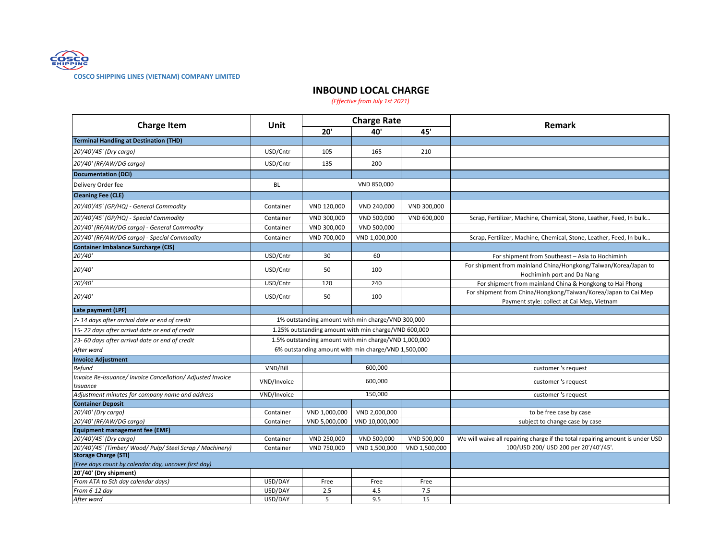

## **COSCO SHIPPING LINES (VIETNAM) COMPANY LIMITED**

## **INBOUND LOCAL CHARGE**

*(Effective from July 1st 2021)*

| <b>Charge Item</b>                                                             | Unit        | <b>Charge Rate</b> |                                                       |               |                                                                                                              |
|--------------------------------------------------------------------------------|-------------|--------------------|-------------------------------------------------------|---------------|--------------------------------------------------------------------------------------------------------------|
|                                                                                |             | 20'                | 40'                                                   | 45'           | Remark                                                                                                       |
| <b>Terminal Handling at Destination (THD)</b>                                  |             |                    |                                                       |               |                                                                                                              |
| 20'/40'/45' (Dry cargo)                                                        | USD/Cntr    | 105                | 165                                                   | 210           |                                                                                                              |
| 20'/40' (RF/AW/DG cargo)                                                       | USD/Cntr    | 135                | 200                                                   |               |                                                                                                              |
| <b>Documentation (DCI)</b>                                                     |             |                    |                                                       |               |                                                                                                              |
| Delivery Order fee                                                             | <b>BL</b>   | VND 850,000        |                                                       |               |                                                                                                              |
| <b>Cleaning Fee (CLE)</b>                                                      |             |                    |                                                       |               |                                                                                                              |
| 20'/40'/45' (GP/HQ) - General Commodity                                        | Container   | VND 120,000        | VND 240,000                                           | VND 300,000   |                                                                                                              |
| 20'/40'/45' (GP/HQ) - Special Commodity                                        | Container   | VND 300,000        | VND 500,000                                           | VND 600,000   | Scrap, Fertilizer, Machine, Chemical, Stone, Leather, Feed, In bulk                                          |
| 20'/40' (RF/AW/DG cargo) - General Commodity                                   | Container   | VND 300,000        | VND 500,000                                           |               |                                                                                                              |
| 20'/40' (RF/AW/DG cargo) - Special Commodity                                   | Container   | VND 700,000        | VND 1,000,000                                         |               | Scrap, Fertilizer, Machine, Chemical, Stone, Leather, Feed, In bulk                                          |
| <b>Container Imbalance Surcharge (CIS)</b>                                     |             |                    |                                                       |               |                                                                                                              |
| 20'/40'                                                                        | USD/Cntr    | 30                 | 60                                                    |               | For shipment from Southeast - Asia to Hochiminh                                                              |
| 20'/40'                                                                        | USD/Cntr    | 50                 | 100                                                   |               | For shipment from mainland China/Hongkong/Taiwan/Korea/Japan to<br>Hochiminh port and Da Nang                |
| 20'/40'                                                                        | USD/Cntr    | 120                | 240                                                   |               | For shipment from mainland China & Hongkong to Hai Phong                                                     |
| 20'/40'                                                                        | USD/Cntr    | 50                 | 100                                                   |               | For shipment from China/Hongkong/Taiwan/Korea/Japan to Cai Mep<br>Payment style: collect at Cai Mep, Vietnam |
| Late payment (LPF)                                                             |             |                    |                                                       |               |                                                                                                              |
| 7-14 days after arrival date or end of credit                                  |             |                    | 1% outstanding amount with min charge/VND 300,000     |               |                                                                                                              |
| 15-22 days after arrival date or end of credit                                 |             |                    | 1.25% outstanding amount with min charge/VND 600,000  |               |                                                                                                              |
| 23-60 days after arrival date or end of credit                                 |             |                    | 1.5% outstanding amount with min charge/VND 1,000,000 |               |                                                                                                              |
| After ward                                                                     |             |                    | 6% outstanding amount with min charge/VND 1,500,000   |               |                                                                                                              |
| <b>Invoice Adjustment</b>                                                      |             |                    |                                                       |               |                                                                                                              |
| Refund                                                                         | VND/Bill    | 600,000            |                                                       |               | customer 's request                                                                                          |
| Invoice Re-issuance/ Invoice Cancellation/ Adjusted Invoice<br><b>Issuance</b> | VND/Invoice | 600,000            |                                                       |               | customer 's request                                                                                          |
| Adjustment minutes for company name and address                                | VND/Invoice | 150.000            |                                                       |               | customer 's request                                                                                          |
| <b>Container Deposit</b>                                                       |             |                    |                                                       |               |                                                                                                              |
| 20'/40' (Dry cargo)                                                            | Container   | VND 1,000,000      | VND 2,000,000                                         |               | to be free case by case                                                                                      |
| 20'/40' (RF/AW/DG cargo)                                                       | Container   | VND 5,000,000      | VND 10,000,000                                        |               | subject to change case by case                                                                               |
| <b>Equipment management fee (EMF)</b>                                          |             |                    |                                                       |               |                                                                                                              |
| 20'/40'/45' (Dry cargo)                                                        | Container   | VND 250,000        | VND 500,000                                           | VND 500,000   | We will waive all repairing charge if the total repairing amount is under USD                                |
| 20'/40'/45' (Timber/ Wood/ Pulp/ Steel Scrap / Machinery)                      | Container   | VND 750,000        | VND 1,500,000                                         | VND 1,500,000 | 100/USD 200/ USD 200 per 20'/40'/45'.                                                                        |
| <b>Storage Charge (STI)</b>                                                    |             |                    |                                                       |               |                                                                                                              |
| (Free days count by calendar day, uncover first day)                           |             |                    |                                                       |               |                                                                                                              |
| 20'/40' (Dry shipment)<br>From ATA to 5th day calendar days)                   | USD/DAY     | Free               | Free                                                  | Free          |                                                                                                              |
| From 6-12 day                                                                  | USD/DAY     | 2.5                | 4.5                                                   | 7.5           |                                                                                                              |
| After ward                                                                     | USD/DAY     | 5                  | 9.5                                                   | 15            |                                                                                                              |
|                                                                                |             |                    |                                                       |               |                                                                                                              |